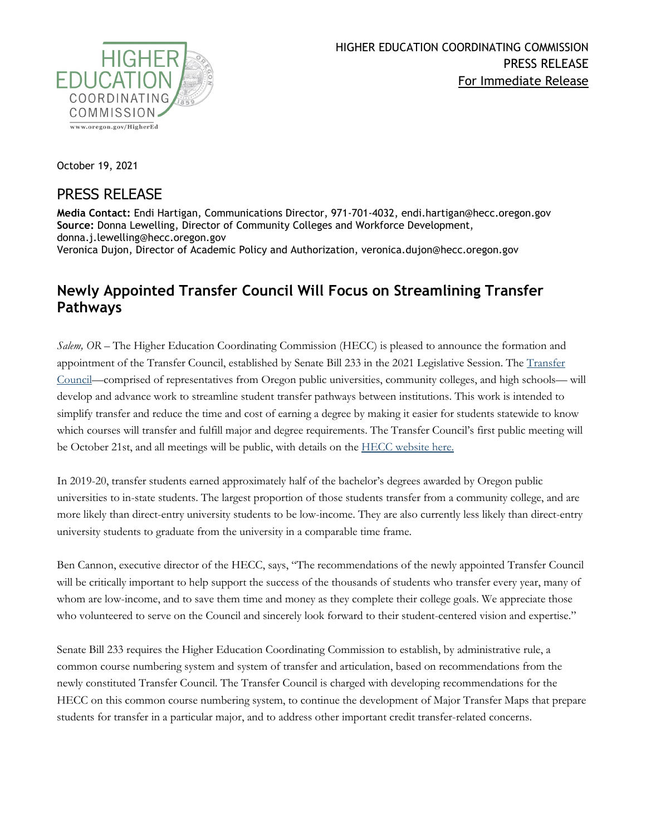

October 19, 2021

## PRESS RELEASE

**Media Contact:** Endi Hartigan, Communications Director, 971-701-4032, endi.hartigan@hecc.oregon.gov **Source:** Donna Lewelling, Director of Community Colleges and Workforce Development, donna.j.lewelling@hecc.oregon.gov Veronica Dujon, Director of Academic Policy and Authorization, veronica.dujon@hecc.oregon.gov

## **Newly Appointed Transfer Council Will Focus on Streamlining Transfer Pathways**

*Salem, OR –* The Higher Education Coordinating Commission (HECC) is pleased to announce the formation and appointment of the Transfer Council, established by Senate Bill 233 in the 2021 Legislative Session. The [Transfer](https://www.oregon.gov/highered/policy-collaboration/Pages/transfer-council.aspx)  [Council—](https://www.oregon.gov/highered/policy-collaboration/Pages/transfer-council.aspx)comprised of representatives from Oregon public universities, community colleges, and high schools— will develop and advance work to streamline student transfer pathways between institutions. This work is intended to simplify transfer and reduce the time and cost of earning a degree by making it easier for students statewide to know which courses will transfer and fulfill major and degree requirements. The Transfer Council's first public meeting will be October 21st, and all meetings will be public, with details on the [HECC website here.](https://www.oregon.gov/highered/about/Pages/current-materials.aspx)

In 2019-20, transfer students earned approximately half of the bachelor's degrees awarded by Oregon public universities to in-state students. The largest proportion of those students transfer from a community college, and are more likely than direct-entry university students to be low-income. They are also currently less likely than direct-entry university students to graduate from the university in a comparable time frame.

Ben Cannon, executive director of the HECC, says, "The recommendations of the newly appointed Transfer Council will be critically important to help support the success of the thousands of students who transfer every year, many of whom are low-income, and to save them time and money as they complete their college goals. We appreciate those who volunteered to serve on the Council and sincerely look forward to their student-centered vision and expertise."

Senate Bill 233 requires the Higher Education Coordinating Commission to establish, by administrative rule, a common course numbering system and system of transfer and articulation, based on recommendations from the newly constituted Transfer Council. The Transfer Council is charged with developing recommendations for the HECC on this common course numbering system, to continue the development of Major Transfer Maps that prepare students for transfer in a particular major, and to address other important credit transfer-related concerns.